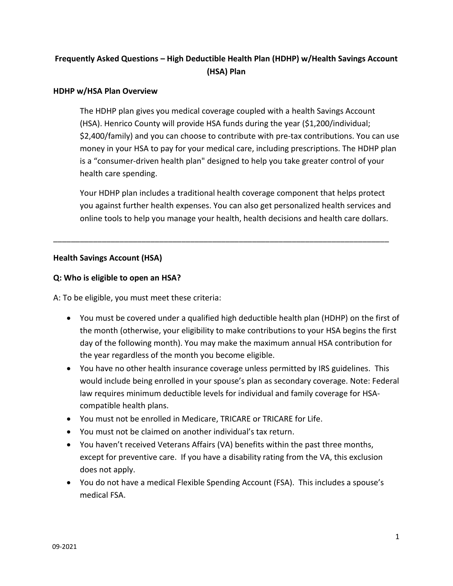# **Frequently Asked Questions – High Deductible Health Plan (HDHP) w/Health Savings Account (HSA) Plan**

#### **HDHP w/HSA Plan Overview**

The HDHP plan gives you medical coverage coupled with a health Savings Account (HSA). Henrico County will provide HSA funds during the year (\$1,200/individual; \$2,400/family) and you can choose to contribute with pre-tax contributions. You can use money in your HSA to pay for your medical care, including prescriptions. The HDHP plan is a "consumer-driven health plan" designed to help you take greater control of your health care spending.

Your HDHP plan includes a traditional health coverage component that helps protect you against further health expenses. You can also get personalized health services and online tools to help you manage your health, health decisions and health care dollars.

\_\_\_\_\_\_\_\_\_\_\_\_\_\_\_\_\_\_\_\_\_\_\_\_\_\_\_\_\_\_\_\_\_\_\_\_\_\_\_\_\_\_\_\_\_\_\_\_\_\_\_\_\_\_\_\_\_\_\_\_\_\_\_\_\_\_\_\_\_\_\_\_\_\_\_\_

#### **Health Savings Account (HSA)**

#### **Q: Who is eligible to open an HSA?**

A: To be eligible, you must meet these criteria:

- You must be covered under a qualified high deductible health plan (HDHP) on the first of the month (otherwise, your eligibility to make contributions to your HSA begins the first day of the following month). You may make the maximum annual HSA contribution for the year regardless of the month you become eligible.
- You have no other health insurance coverage unless permitted by IRS guidelines. This would include being enrolled in your spouse's plan as secondary coverage. Note: Federal law requires minimum deductible levels for individual and family coverage for HSAcompatible health plans.
- You must not be enrolled in Medicare, TRICARE or TRICARE for Life.
- You must not be claimed on another individual's tax return.
- You haven't received Veterans Affairs (VA) benefits within the past three months, except for preventive care. If you have a disability rating from the VA, this exclusion does not apply.
- You do not have a medical Flexible Spending Account (FSA). This includes a spouse's medical FSA.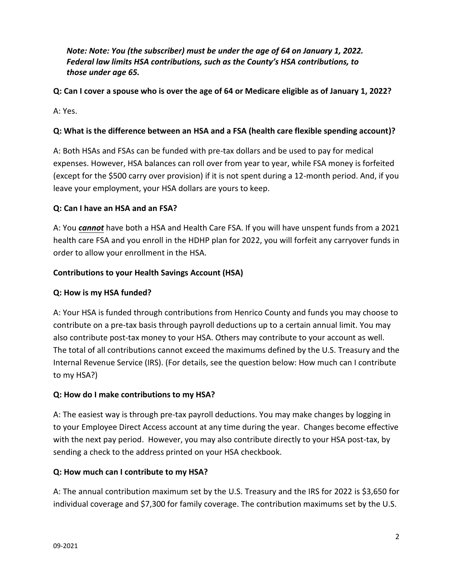*Note: Note: You (the subscriber) must be under the age of 64 on January 1, 2022. Federal law limits HSA contributions, such as the County's HSA contributions, to those under age 65.* 

**Q: Can I cover a spouse who is over the age of 64 or Medicare eligible as of January 1, 2022?**

A: Yes.

# **Q: What is the difference between an HSA and a FSA (health care flexible spending account)?**

A: Both HSAs and FSAs can be funded with pre-tax dollars and be used to pay for medical expenses. However, HSA balances can roll over from year to year, while FSA money is forfeited (except for the \$500 carry over provision) if it is not spent during a 12-month period. And, if you leave your employment, your HSA dollars are yours to keep.

# **Q: Can I have an HSA and an FSA?**

A: You *cannot* have both a HSA and Health Care FSA. If you will have unspent funds from a 2021 health care FSA and you enroll in the HDHP plan for 2022, you will forfeit any carryover funds in order to allow your enrollment in the HSA.

# **Contributions to your Health Savings Account (HSA)**

# **Q: How is my HSA funded?**

A: Your HSA is funded through contributions from Henrico County and funds you may choose to contribute on a pre-tax basis through payroll deductions up to a certain annual limit. You may also contribute post-tax money to your HSA. Others may contribute to your account as well. The total of all contributions cannot exceed the maximums defined by the U.S. Treasury and the Internal Revenue Service (IRS). (For details, see the question below: How much can I contribute to my HSA?)

# **Q: How do I make contributions to my HSA?**

A: The easiest way is through pre-tax payroll deductions. You may make changes by logging in to your Employee Direct Access account at any time during the year. Changes become effective with the next pay period. However, you may also contribute directly to your HSA post-tax, by sending a check to the address printed on your HSA checkbook.

# **Q: How much can I contribute to my HSA?**

A: The annual contribution maximum set by the U.S. Treasury and the IRS for 2022 is \$3,650 for individual coverage and \$7,300 for family coverage. The contribution maximums set by the U.S.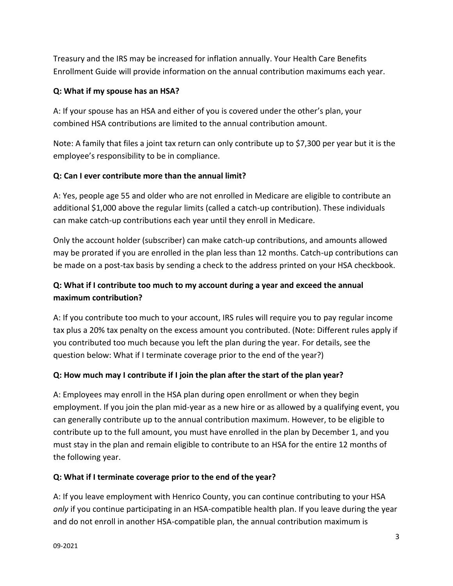Treasury and the IRS may be increased for inflation annually. Your Health Care Benefits Enrollment Guide will provide information on the annual contribution maximums each year.

# **Q: What if my spouse has an HSA?**

A: If your spouse has an HSA and either of you is covered under the other's plan, your combined HSA contributions are limited to the annual contribution amount.

Note: A family that files a joint tax return can only contribute up to \$7,300 per year but it is the employee's responsibility to be in compliance.

# **Q: Can I ever contribute more than the annual limit?**

A: Yes, people age 55 and older who are not enrolled in Medicare are eligible to contribute an additional \$1,000 above the regular limits (called a catch-up contribution). These individuals can make catch-up contributions each year until they enroll in Medicare.

Only the account holder (subscriber) can make catch-up contributions, and amounts allowed may be prorated if you are enrolled in the plan less than 12 months. Catch-up contributions can be made on a post-tax basis by sending a check to the address printed on your HSA checkbook.

# **Q: What if I contribute too much to my account during a year and exceed the annual maximum contribution?**

A: If you contribute too much to your account, IRS rules will require you to pay regular income tax plus a 20% tax penalty on the excess amount you contributed. (Note: Different rules apply if you contributed too much because you left the plan during the year. For details, see the question below: What if I terminate coverage prior to the end of the year?)

# **Q: How much may I contribute if I join the plan after the start of the plan year?**

A: Employees may enroll in the HSA plan during open enrollment or when they begin employment. If you join the plan mid-year as a new hire or as allowed by a qualifying event, you can generally contribute up to the annual contribution maximum. However, to be eligible to contribute up to the full amount, you must have enrolled in the plan by December 1, and you must stay in the plan and remain eligible to contribute to an HSA for the entire 12 months of the following year.

# **Q: What if I terminate coverage prior to the end of the year?**

A: If you leave employment with Henrico County, you can continue contributing to your HSA *only* if you continue participating in an HSA-compatible health plan. If you leave during the year and do not enroll in another HSA-compatible plan, the annual contribution maximum is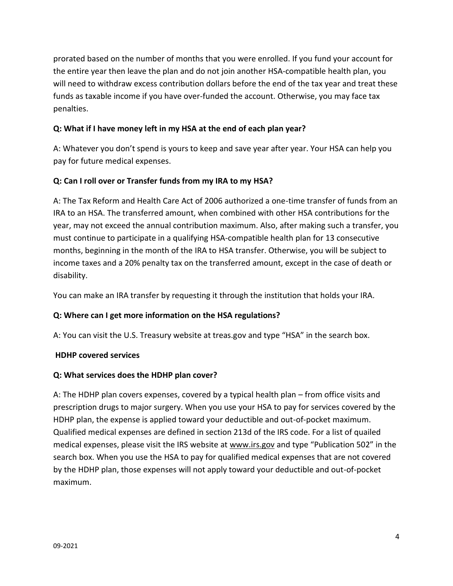prorated based on the number of months that you were enrolled. If you fund your account for the entire year then leave the plan and do not join another HSA-compatible health plan, you will need to withdraw excess contribution dollars before the end of the tax year and treat these funds as taxable income if you have over-funded the account. Otherwise, you may face tax penalties.

# **Q: What if I have money left in my HSA at the end of each plan year?**

A: Whatever you don't spend is yours to keep and save year after year. Your HSA can help you pay for future medical expenses.

## **Q: Can I roll over or Transfer funds from my IRA to my HSA?**

A: The Tax Reform and Health Care Act of 2006 authorized a one-time transfer of funds from an IRA to an HSA. The transferred amount, when combined with other HSA contributions for the year, may not exceed the annual contribution maximum. Also, after making such a transfer, you must continue to participate in a qualifying HSA-compatible health plan for 13 consecutive months, beginning in the month of the IRA to HSA transfer. Otherwise, you will be subject to income taxes and a 20% penalty tax on the transferred amount, except in the case of death or disability.

You can make an IRA transfer by requesting it through the institution that holds your IRA.

## **Q: Where can I get more information on the HSA regulations?**

A: You can visit the U.S. Treasury website at treas.gov and type "HSA" in the search box.

## **HDHP covered services**

## **Q: What services does the HDHP plan cover?**

A: The HDHP plan covers expenses, covered by a typical health plan – from office visits and prescription drugs to major surgery. When you use your HSA to pay for services covered by the HDHP plan, the expense is applied toward your deductible and out-of-pocket maximum. Qualified medical expenses are defined in section 213d of the IRS code. For a list of quailed medical expenses, please visit the IRS website at [www.irs.gov](http://www.irs.gov/) and type "Publication 502" in the search box. When you use the HSA to pay for qualified medical expenses that are not covered by the HDHP plan, those expenses will not apply toward your deductible and out-of-pocket maximum.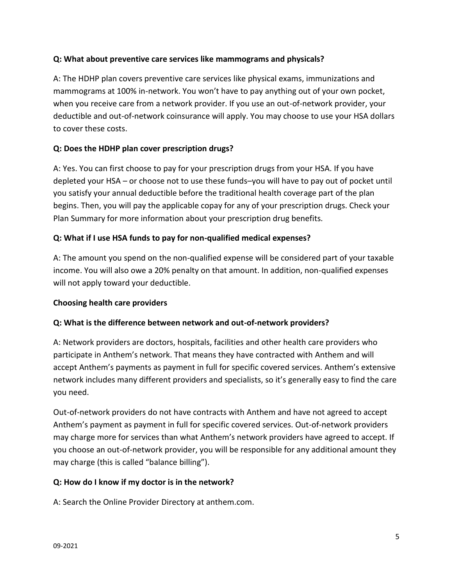# **Q: What about preventive care services like mammograms and physicals?**

A: The HDHP plan covers preventive care services like physical exams, immunizations and mammograms at 100% in-network. You won't have to pay anything out of your own pocket, when you receive care from a network provider. If you use an out-of-network provider, your deductible and out-of-network coinsurance will apply. You may choose to use your HSA dollars to cover these costs.

## **Q: Does the HDHP plan cover prescription drugs?**

A: Yes. You can first choose to pay for your prescription drugs from your HSA. If you have depleted your HSA – or choose not to use these funds–you will have to pay out of pocket until you satisfy your annual deductible before the traditional health coverage part of the plan begins. Then, you will pay the applicable copay for any of your prescription drugs. Check your Plan Summary for more information about your prescription drug benefits.

## **Q: What if I use HSA funds to pay for non-qualified medical expenses?**

A: The amount you spend on the non-qualified expense will be considered part of your taxable income. You will also owe a 20% penalty on that amount. In addition, non-qualified expenses will not apply toward your deductible.

## **Choosing health care providers**

## **Q: What is the difference between network and out-of-network providers?**

A: Network providers are doctors, hospitals, facilities and other health care providers who participate in Anthem's network. That means they have contracted with Anthem and will accept Anthem's payments as payment in full for specific covered services. Anthem's extensive network includes many different providers and specialists, so it's generally easy to find the care you need.

Out-of-network providers do not have contracts with Anthem and have not agreed to accept Anthem's payment as payment in full for specific covered services. Out-of-network providers may charge more for services than what Anthem's network providers have agreed to accept. If you choose an out-of-network provider, you will be responsible for any additional amount they may charge (this is called "balance billing").

## **Q: How do I know if my doctor is in the network?**

A: Search the Online Provider Directory at anthem.com.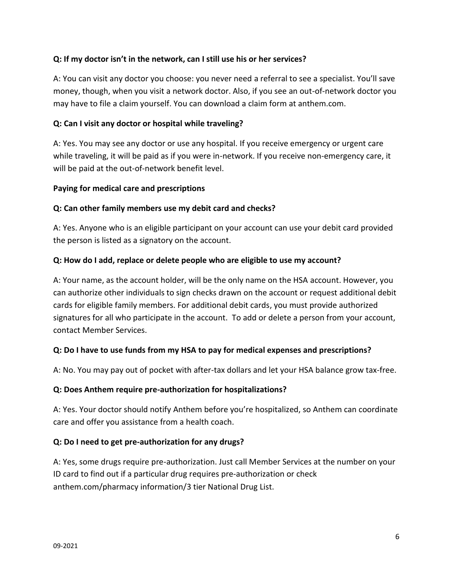## **Q: If my doctor isn't in the network, can I still use his or her services?**

A: You can visit any doctor you choose: you never need a referral to see a specialist. You'll save money, though, when you visit a network doctor. Also, if you see an out-of-network doctor you may have to file a claim yourself. You can download a claim form at anthem.com.

## **Q: Can I visit any doctor or hospital while traveling?**

A: Yes. You may see any doctor or use any hospital. If you receive emergency or urgent care while traveling, it will be paid as if you were in-network. If you receive non-emergency care, it will be paid at the out-of-network benefit level.

## **Paying for medical care and prescriptions**

## **Q: Can other family members use my debit card and checks?**

A: Yes. Anyone who is an eligible participant on your account can use your debit card provided the person is listed as a signatory on the account.

## **Q: How do I add, replace or delete people who are eligible to use my account?**

A: Your name, as the account holder, will be the only name on the HSA account. However, you can authorize other individuals to sign checks drawn on the account or request additional debit cards for eligible family members. For additional debit cards, you must provide authorized signatures for all who participate in the account. To add or delete a person from your account, contact Member Services.

## **Q: Do I have to use funds from my HSA to pay for medical expenses and prescriptions?**

A: No. You may pay out of pocket with after-tax dollars and let your HSA balance grow tax-free.

## **Q: Does Anthem require pre-authorization for hospitalizations?**

A: Yes. Your doctor should notify Anthem before you're hospitalized, so Anthem can coordinate care and offer you assistance from a health coach.

## **Q: Do I need to get pre-authorization for any drugs?**

A: Yes, some drugs require pre-authorization. Just call Member Services at the number on your ID card to find out if a particular drug requires pre-authorization or check anthem.com/pharmacy information/3 tier National Drug List.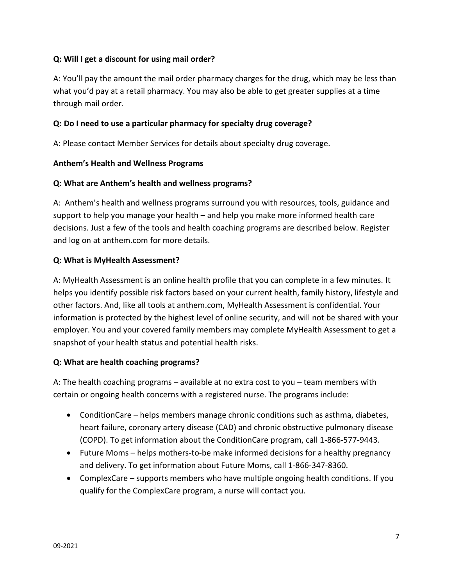## **Q: Will I get a discount for using mail order?**

A: You'll pay the amount the mail order pharmacy charges for the drug, which may be less than what you'd pay at a retail pharmacy. You may also be able to get greater supplies at a time through mail order.

## **Q: Do I need to use a particular pharmacy for specialty drug coverage?**

A: Please contact Member Services for details about specialty drug coverage.

## **Anthem's Health and Wellness Programs**

## **Q: What are Anthem's health and wellness programs?**

A: Anthem's health and wellness programs surround you with resources, tools, guidance and support to help you manage your health – and help you make more informed health care decisions. Just a few of the tools and health coaching programs are described below. Register and log on at anthem.com for more details.

## **Q: What is MyHealth Assessment?**

A: MyHealth Assessment is an online health profile that you can complete in a few minutes. It helps you identify possible risk factors based on your current health, family history, lifestyle and other factors. And, like all tools at anthem.com, MyHealth Assessment is confidential. Your information is protected by the highest level of online security, and will not be shared with your employer. You and your covered family members may complete MyHealth Assessment to get a snapshot of your health status and potential health risks.

## **Q: What are health coaching programs?**

A: The health coaching programs – available at no extra cost to you – team members with certain or ongoing health concerns with a registered nurse. The programs include:

- ConditionCare helps members manage chronic conditions such as asthma, diabetes, heart failure, coronary artery disease (CAD) and chronic obstructive pulmonary disease (COPD). To get information about the ConditionCare program, call 1-866-577-9443.
- Future Moms helps mothers-to-be make informed decisions for a healthy pregnancy and delivery. To get information about Future Moms, call 1-866-347-8360.
- ComplexCare supports members who have multiple ongoing health conditions. If you qualify for the ComplexCare program, a nurse will contact you.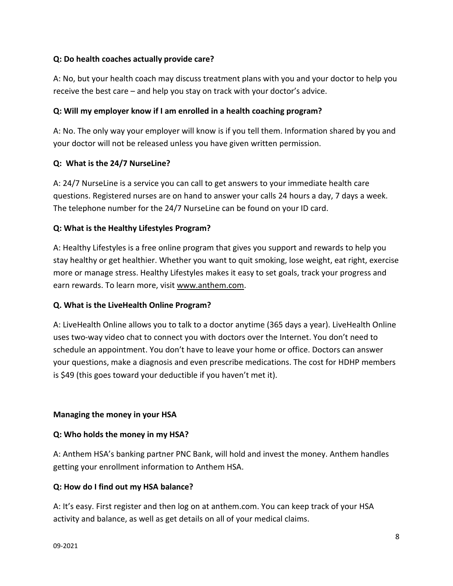## **Q: Do health coaches actually provide care?**

A: No, but your health coach may discuss treatment plans with you and your doctor to help you receive the best care – and help you stay on track with your doctor's advice.

## **Q: Will my employer know if I am enrolled in a health coaching program?**

A: No. The only way your employer will know is if you tell them. Information shared by you and your doctor will not be released unless you have given written permission.

## **Q: What is the 24/7 NurseLine?**

A: 24/7 NurseLine is a service you can call to get answers to your immediate health care questions. Registered nurses are on hand to answer your calls 24 hours a day, 7 days a week. The telephone number for the 24/7 NurseLine can be found on your ID card.

## **Q: What is the Healthy Lifestyles Program?**

A: Healthy Lifestyles is a free online program that gives you support and rewards to help you stay healthy or get healthier. Whether you want to quit smoking, lose weight, eat right, exercise more or manage stress. Healthy Lifestyles makes it easy to set goals, track your progress and earn rewards. To learn more, visit [www.anthem.com.](http://www.anthem.com/)

## **Q. What is the LiveHealth Online Program?**

A: LiveHealth Online allows you to talk to a doctor anytime (365 days a year). LiveHealth Online uses two-way video chat to connect you with doctors over the Internet. You don't need to schedule an appointment. You don't have to leave your home or office. Doctors can answer your questions, make a diagnosis and even prescribe medications. The cost for HDHP members is \$49 (this goes toward your deductible if you haven't met it).

## **Managing the money in your HSA**

## **Q: Who holds the money in my HSA?**

A: Anthem HSA's banking partner PNC Bank, will hold and invest the money. Anthem handles getting your enrollment information to Anthem HSA.

## **Q: How do I find out my HSA balance?**

A: It's easy. First register and then log on at anthem.com. You can keep track of your HSA activity and balance, as well as get details on all of your medical claims.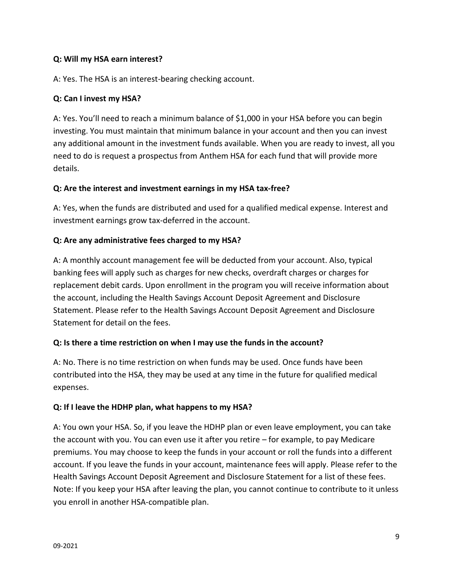## **Q: Will my HSA earn interest?**

A: Yes. The HSA is an interest-bearing checking account.

## **Q: Can I invest my HSA?**

A: Yes. You'll need to reach a minimum balance of \$1,000 in your HSA before you can begin investing. You must maintain that minimum balance in your account and then you can invest any additional amount in the investment funds available. When you are ready to invest, all you need to do is request a prospectus from Anthem HSA for each fund that will provide more details.

## **Q: Are the interest and investment earnings in my HSA tax-free?**

A: Yes, when the funds are distributed and used for a qualified medical expense. Interest and investment earnings grow tax-deferred in the account.

# **Q: Are any administrative fees charged to my HSA?**

A: A monthly account management fee will be deducted from your account. Also, typical banking fees will apply such as charges for new checks, overdraft charges or charges for replacement debit cards. Upon enrollment in the program you will receive information about the account, including the Health Savings Account Deposit Agreement and Disclosure Statement. Please refer to the Health Savings Account Deposit Agreement and Disclosure Statement for detail on the fees.

## **Q: Is there a time restriction on when I may use the funds in the account?**

A: No. There is no time restriction on when funds may be used. Once funds have been contributed into the HSA, they may be used at any time in the future for qualified medical expenses.

## **Q: If I leave the HDHP plan, what happens to my HSA?**

A: You own your HSA. So, if you leave the HDHP plan or even leave employment, you can take the account with you. You can even use it after you retire – for example, to pay Medicare premiums. You may choose to keep the funds in your account or roll the funds into a different account. If you leave the funds in your account, maintenance fees will apply. Please refer to the Health Savings Account Deposit Agreement and Disclosure Statement for a list of these fees. Note: If you keep your HSA after leaving the plan, you cannot continue to contribute to it unless you enroll in another HSA-compatible plan.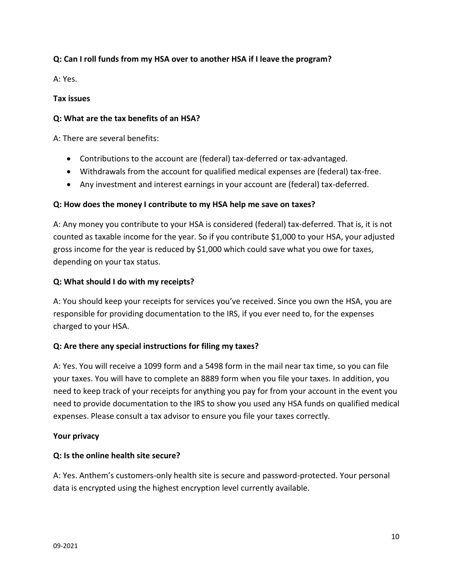# **Q: Can I roll funds from my HSA over to another HSA if I leave the program?**

A: Yes.

## **Tax issues**

## **Q: What are the tax benefits of an HSA?**

A: There are several benefits:

- Contributions to the account are (federal) tax-deferred or tax-advantaged.
- Withdrawals from the account for qualified medical expenses are (federal) tax-free.
- Any investment and interest earnings in your account are (federal) tax-deferred.

## **Q: How does the money I contribute to my HSA help me save on taxes?**

A: Any money you contribute to your HSA is considered (federal) tax-deferred. That is, it is not counted as taxable income for the year. So if you contribute \$1,000 to your HSA, your adjusted gross income for the year is reduced by \$1,000 which could save what you owe for taxes, depending on your tax status.

## **Q: What should I do with my receipts?**

A: You should keep your receipts for services you've received. Since you own the HSA, you are responsible for providing documentation to the IRS, if you ever need to, for the expenses charged to your HSA.

# **Q: Are there any special instructions for filing my taxes?**

A: Yes. You will receive a 1099 form and a 5498 form in the mail near tax time, so you can file your taxes. You will have to complete an 8889 form when you file your taxes. In addition, you need to keep track of your receipts for anything you pay for from your account in the event you need to provide documentation to the IRS to show you used any HSA funds on qualified medical expenses. Please consult a tax advisor to ensure you file your taxes correctly.

## **Your privacy**

# **Q: Is the online health site secure?**

A: Yes. Anthem's customers-only health site is secure and password-protected. Your personal data is encrypted using the highest encryption level currently available.